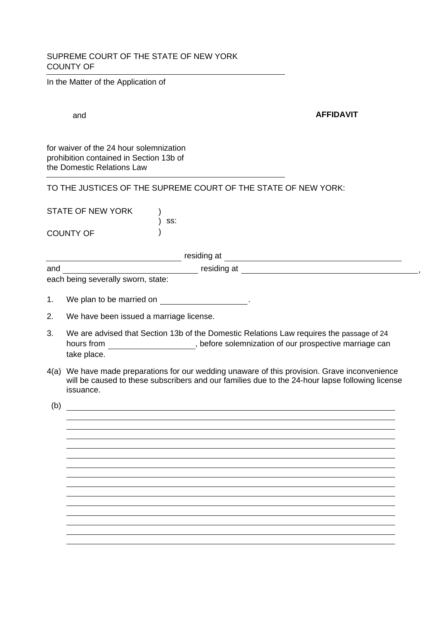## SUPREME COURT OF THE STATE OF NEW YORK COUNTY OF

In the Matter of the Application of

and **AFFIDAVIT**

for waiver of the 24 hour solemnization prohibition contained in Section 13b of the Domestic Relations Law

TO THE JUSTICES OF THE SUPREME COURT OF THE STATE OF NEW YORK:

STATE OF NEW YORK ss: ) COUNTY OF  $\lambda$  $\lambda$ 

residing at

and residing at ,

each being severally sworn, state:

- 1. We plan to be married on .
- 2. We have been issued a marriage license.
- We are advised that Section 13b of the Domestic Relations Law requires the passage of 24 hours from **contact to the solemnization** of our prospective marriage can take place. 3.
- We have made preparations for our wedding unaware of this provision. Grave inconvenience 4(a) will be caused to these subscribers and our families due to the 24-hour lapse following license issuance.

(b)